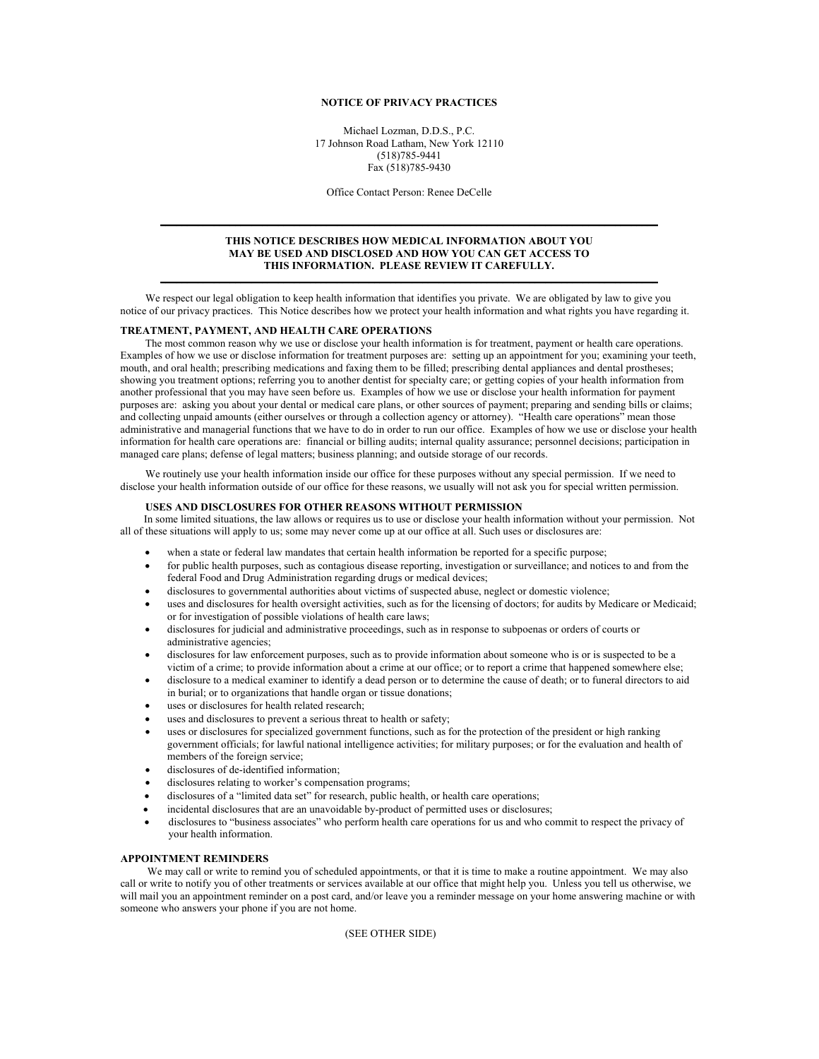# **NOTICE OF PRIVACY PRACTICES**

Michael Lozman, D.D.S., P.C. 17 Johnson Road Latham, New York 12110 (518)785-9441 Fax (518)785-9430

Office Contact Person: Renee DeCelle

**\_\_\_\_\_\_\_\_\_\_\_\_\_\_\_\_\_\_\_\_\_\_\_\_\_\_\_\_\_\_\_\_\_\_\_\_\_\_\_\_\_\_\_\_\_\_\_\_\_\_\_\_\_\_\_\_\_\_\_\_\_\_\_\_\_\_\_\_\_\_\_\_\_\_\_\_\_\_\_\_\_\_\_\_\_\_\_\_\_\_\_\_\_**

## **THIS NOTICE DESCRIBES HOW MEDICAL INFORMATION ABOUT YOU MAY BE USED AND DISCLOSED AND HOW YOU CAN GET ACCESS TO THIS INFORMATION. PLEASE REVIEW IT CAREFULLY. \_\_\_\_\_\_\_\_\_\_\_\_\_\_\_\_\_\_\_\_\_\_\_\_\_\_\_\_\_\_\_\_\_\_\_\_\_\_\_\_\_\_\_\_\_\_\_\_\_\_\_\_\_\_\_\_\_\_\_\_\_\_\_\_\_\_\_\_\_\_\_\_\_\_\_\_\_\_\_\_\_\_\_\_\_\_\_\_\_\_\_\_\_**

We respect our legal obligation to keep health information that identifies you private. We are obligated by law to give you notice of our privacy practices. This Notice describes how we protect your health information and what rights you have regarding it.

# **TREATMENT, PAYMENT, AND HEALTH CARE OPERATIONS**

The most common reason why we use or disclose your health information is for treatment, payment or health care operations. Examples of how we use or disclose information for treatment purposes are: setting up an appointment for you; examining your teeth, mouth, and oral health; prescribing medications and faxing them to be filled; prescribing dental appliances and dental prostheses; showing you treatment options; referring you to another dentist for specialty care; or getting copies of your health information from another professional that you may have seen before us. Examples of how we use or disclose your health information for payment purposes are: asking you about your dental or medical care plans, or other sources of payment; preparing and sending bills or claims; and collecting unpaid amounts (either ourselves or through a collection agency or attorney). "Health care operations" mean those administrative and managerial functions that we have to do in order to run our office. Examples of how we use or disclose your health information for health care operations are: financial or billing audits; internal quality assurance; personnel decisions; participation in managed care plans; defense of legal matters; business planning; and outside storage of our records.

We routinely use your health information inside our office for these purposes without any special permission. If we need to disclose your health information outside of our office for these reasons, we usually will not ask you for special written permission.

# **USES AND DISCLOSURES FOR OTHER REASONS WITHOUT PERMISSION**

In some limited situations, the law allows or requires us to use or disclose your health information without your permission. Not all of these situations will apply to us; some may never come up at our office at all. Such uses or disclosures are:

- when a state or federal law mandates that certain health information be reported for a specific purpose;
- for public health purposes, such as contagious disease reporting, investigation or surveillance; and notices to and from the federal Food and Drug Administration regarding drugs or medical devices;
- disclosures to governmental authorities about victims of suspected abuse, neglect or domestic violence;
- uses and disclosures for health oversight activities, such as for the licensing of doctors; for audits by Medicare or Medicaid; or for investigation of possible violations of health care laws;
- disclosures for judicial and administrative proceedings, such as in response to subpoenas or orders of courts or administrative agencies;
- disclosures for law enforcement purposes, such as to provide information about someone who is or is suspected to be a victim of a crime; to provide information about a crime at our office; or to report a crime that happened somewhere else;
- disclosure to a medical examiner to identify a dead person or to determine the cause of death; or to funeral directors to aid in burial; or to organizations that handle organ or tissue donations;
- uses or disclosures for health related research;
- uses and disclosures to prevent a serious threat to health or safety;
- uses or disclosures for specialized government functions, such as for the protection of the president or high ranking government officials; for lawful national intelligence activities; for military purposes; or for the evaluation and health of members of the foreign service;
- disclosures of de-identified information;
- disclosures relating to worker's compensation programs;
- disclosures of a "limited data set" for research, public health, or health care operations;
- incidental disclosures that are an unavoidable by-product of permitted uses or disclosures;
- disclosures to "business associates" who perform health care operations for us and who commit to respect the privacy of your health information.

# **APPOINTMENT REMINDERS**

We may call or write to remind you of scheduled appointments, or that it is time to make a routine appointment. We may also call or write to notify you of other treatments or services available at our office that might help you. Unless you tell us otherwise, we will mail you an appointment reminder on a post card, and/or leave you a reminder message on your home answering machine or with someone who answers your phone if you are not home.

(SEE OTHER SIDE)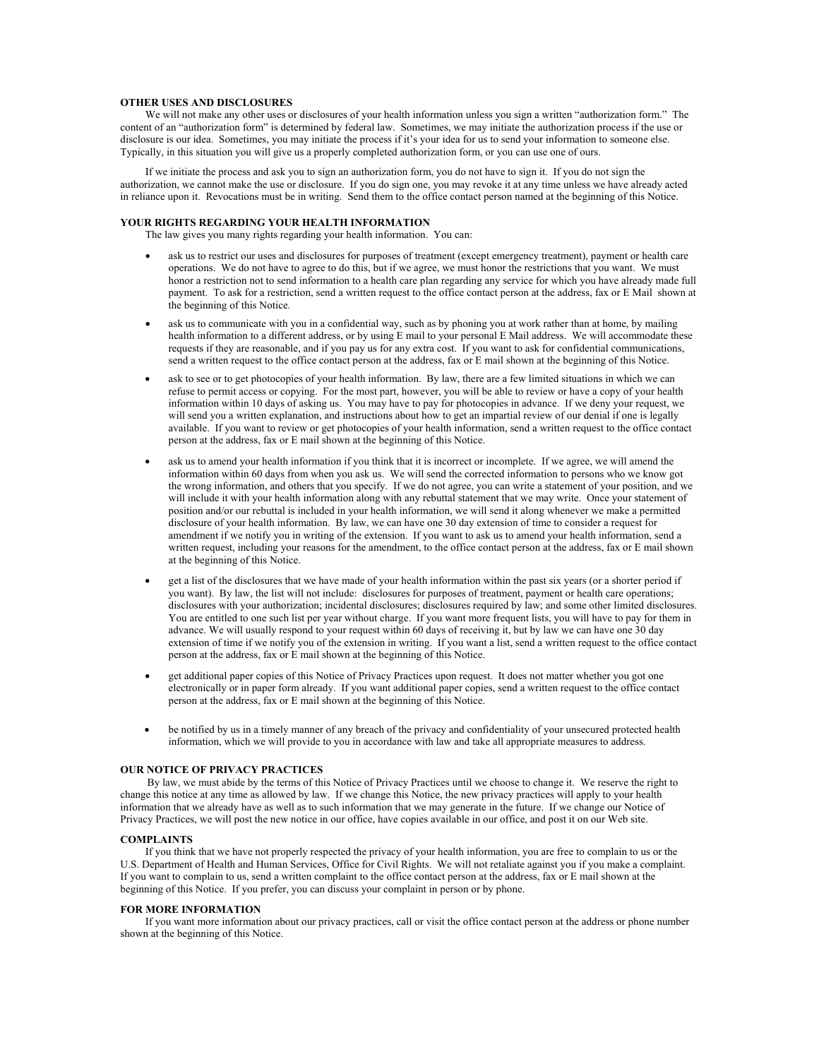## **OTHER USES AND DISCLOSURES**

We will not make any other uses or disclosures of your health information unless you sign a written "authorization form." The content of an "authorization form" is determined by federal law. Sometimes, we may initiate the authorization process if the use or disclosure is our idea. Sometimes, you may initiate the process if it's your idea for us to send your information to someone else. Typically, in this situation you will give us a properly completed authorization form, or you can use one of ours.

If we initiate the process and ask you to sign an authorization form, you do not have to sign it. If you do not sign the authorization, we cannot make the use or disclosure. If you do sign one, you may revoke it at any time unless we have already acted in reliance upon it. Revocations must be in writing. Send them to the office contact person named at the beginning of this Notice.

#### **YOUR RIGHTS REGARDING YOUR HEALTH INFORMATION**

The law gives you many rights regarding your health information. You can:

- ask us to restrict our uses and disclosures for purposes of treatment (except emergency treatment), payment or health care operations. We do not have to agree to do this, but if we agree, we must honor the restrictions that you want. We must honor a restriction not to send information to a health care plan regarding any service for which you have already made full payment. To ask for a restriction, send a written request to the office contact person at the address, fax or E Mail shown at the beginning of this Notice.
- ask us to communicate with you in a confidential way, such as by phoning you at work rather than at home, by mailing health information to a different address, or by using E mail to your personal E Mail address. We will accommodate these requests if they are reasonable, and if you pay us for any extra cost. If you want to ask for confidential communications, send a written request to the office contact person at the address, fax or E mail shown at the beginning of this Notice.
- ask to see or to get photocopies of your health information. By law, there are a few limited situations in which we can refuse to permit access or copying. For the most part, however, you will be able to review or have a copy of your health information within 10 days of asking us. You may have to pay for photocopies in advance. If we deny your request, we will send you a written explanation, and instructions about how to get an impartial review of our denial if one is legally available. If you want to review or get photocopies of your health information, send a written request to the office contact person at the address, fax or E mail shown at the beginning of this Notice.
- ask us to amend your health information if you think that it is incorrect or incomplete. If we agree, we will amend the information within 60 days from when you ask us. We will send the corrected information to persons who we know got the wrong information, and others that you specify. If we do not agree, you can write a statement of your position, and we will include it with your health information along with any rebuttal statement that we may write. Once your statement of position and/or our rebuttal is included in your health information, we will send it along whenever we make a permitted disclosure of your health information. By law, we can have one 30 day extension of time to consider a request for amendment if we notify you in writing of the extension. If you want to ask us to amend your health information, send a written request, including your reasons for the amendment, to the office contact person at the address, fax or E mail shown at the beginning of this Notice.
- get a list of the disclosures that we have made of your health information within the past six years (or a shorter period if you want). By law, the list will not include: disclosures for purposes of treatment, payment or health care operations; disclosures with your authorization; incidental disclosures; disclosures required by law; and some other limited disclosures. You are entitled to one such list per year without charge. If you want more frequent lists, you will have to pay for them in advance. We will usually respond to your request within 60 days of receiving it, but by law we can have one 30 day extension of time if we notify you of the extension in writing. If you want a list, send a written request to the office contact person at the address, fax or E mail shown at the beginning of this Notice.
- get additional paper copies of this Notice of Privacy Practices upon request. It does not matter whether you got one electronically or in paper form already. If you want additional paper copies, send a written request to the office contact person at the address, fax or E mail shown at the beginning of this Notice.
- be notified by us in a timely manner of any breach of the privacy and confidentiality of your unsecured protected health information, which we will provide to you in accordance with law and take all appropriate measures to address.

## **OUR NOTICE OF PRIVACY PRACTICES**

By law, we must abide by the terms of this Notice of Privacy Practices until we choose to change it. We reserve the right to change this notice at any time as allowed by law. If we change this Notice, the new privacy practices will apply to your health information that we already have as well as to such information that we may generate in the future. If we change our Notice of Privacy Practices, we will post the new notice in our office, have copies available in our office, and post it on our Web site.

#### **COMPLAINTS**

If you think that we have not properly respected the privacy of your health information, you are free to complain to us or the U.S. Department of Health and Human Services, Office for Civil Rights. We will not retaliate against you if you make a complaint. If you want to complain to us, send a written complaint to the office contact person at the address, fax or E mail shown at the beginning of this Notice. If you prefer, you can discuss your complaint in person or by phone.

#### **FOR MORE INFORMATION**

If you want more information about our privacy practices, call or visit the office contact person at the address or phone number shown at the beginning of this Notice.